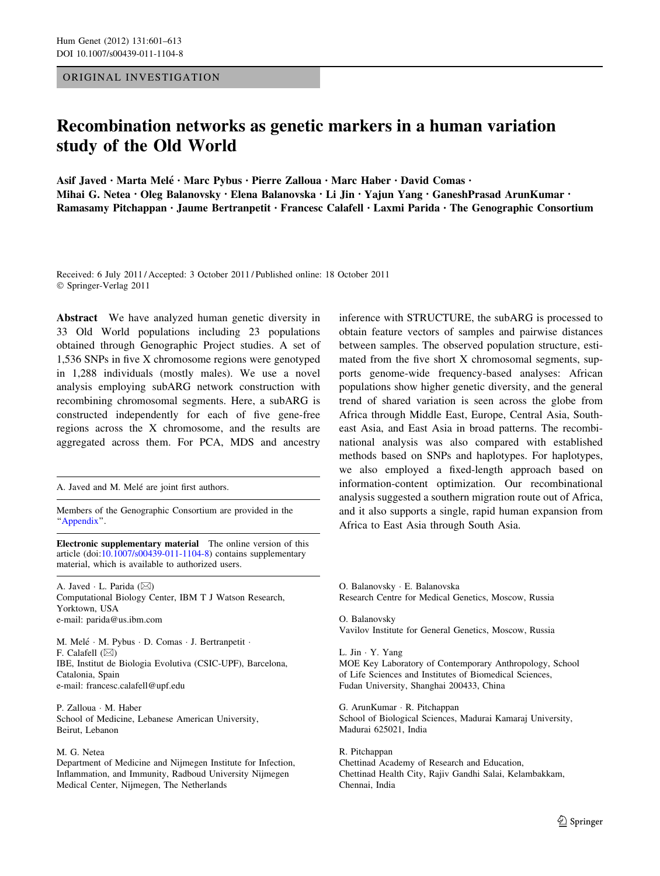#### ORIGINAL INVESTIGATION

# Recombination networks as genetic markers in a human variation study of the Old World

Asif Javed • Marta Melé • Marc Pybus • Pierre Zalloua • Marc Haber • David Comas • Mihai G. Netea • Oleg Balanovsky • Elena Balanovska • Li Jin • Yajun Yang • GaneshPrasad ArunKumar • Ramasamy Pitchappan • Jaume Bertranpetit • Francesc Calafell • Laxmi Parida • The Genographic Consortium

Received: 6 July 2011 / Accepted: 3 October 2011 / Published online: 18 October 2011 © Springer-Verlag 2011

Abstract We have analyzed human genetic diversity in 33 Old World populations including 23 populations obtained through Genographic Project studies. A set of 1,536 SNPs in five X chromosome regions were genotyped in 1,288 individuals (mostly males). We use a novel analysis employing subARG network construction with recombining chromosomal segments. Here, a subARG is constructed independently for each of five gene-free regions across the X chromosome, and the results are aggregated across them. For PCA, MDS and ancestry

A. Javed and M. Melé are joint first authors.

Members of the Genographic Consortium are provided in the ''[Appendix](#page-10-0)''.

Electronic supplementary material The online version of this article (doi:[10.1007/s00439-011-1104-8\)](http://dx.doi.org/10.1007/s00439-011-1104-8) contains supplementary material, which is available to authorized users.

A. Javed  $\cdot$  L. Parida ( $\boxtimes$ ) Computational Biology Center, IBM T J Watson Research, Yorktown, USA e-mail: parida@us.ibm.com

M. Melé · M. Pybus · D. Comas · J. Bertranpetit · F. Calafell  $(\boxtimes)$ IBE, Institut de Biologia Evolutiva (CSIC-UPF), Barcelona, Catalonia, Spain e-mail: francesc.calafell@upf.edu

P. Zalloua - M. Haber School of Medicine, Lebanese American University, Beirut, Lebanon

#### M. G. Netea

Department of Medicine and Nijmegen Institute for Infection, Inflammation, and Immunity, Radboud University Nijmegen Medical Center, Nijmegen, The Netherlands

inference with STRUCTURE, the subARG is processed to obtain feature vectors of samples and pairwise distances between samples. The observed population structure, estimated from the five short X chromosomal segments, supports genome-wide frequency-based analyses: African populations show higher genetic diversity, and the general trend of shared variation is seen across the globe from Africa through Middle East, Europe, Central Asia, Southeast Asia, and East Asia in broad patterns. The recombinational analysis was also compared with established methods based on SNPs and haplotypes. For haplotypes, we also employed a fixed-length approach based on information-content optimization. Our recombinational analysis suggested a southern migration route out of Africa, and it also supports a single, rapid human expansion from Africa to East Asia through South Asia.

O. Balanovsky - E. Balanovska Research Centre for Medical Genetics, Moscow, Russia

O. Balanovsky Vavilov Institute for General Genetics, Moscow, Russia

L. Jin - Y. Yang MOE Key Laboratory of Contemporary Anthropology, School of Life Sciences and Institutes of Biomedical Sciences, Fudan University, Shanghai 200433, China

G. ArunKumar - R. Pitchappan School of Biological Sciences, Madurai Kamaraj University, Madurai 625021, India

R. Pitchappan Chettinad Academy of Research and Education, Chettinad Health City, Rajiv Gandhi Salai, Kelambakkam, Chennai, India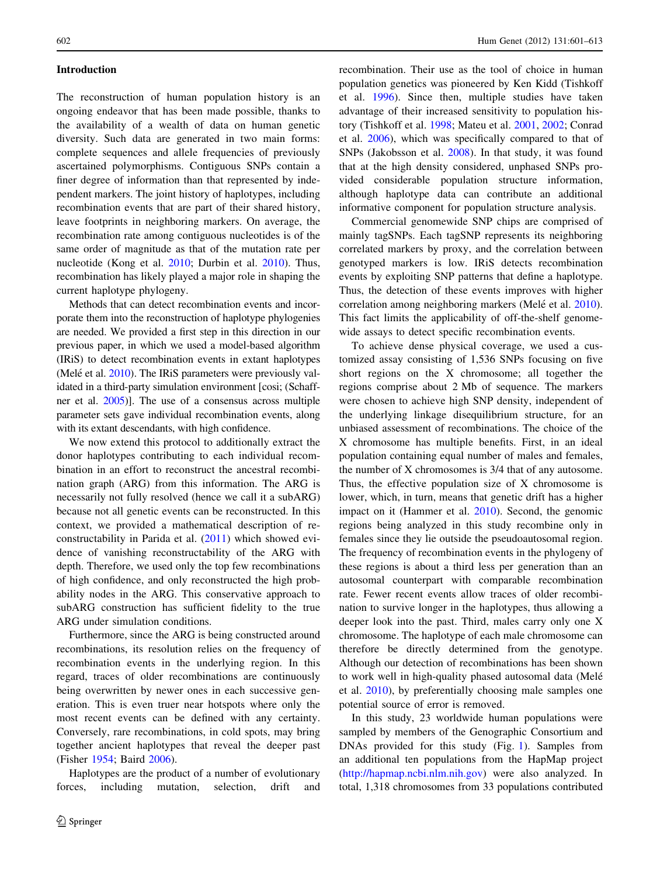#### Introduction

The reconstruction of human population history is an ongoing endeavor that has been made possible, thanks to the availability of a wealth of data on human genetic diversity. Such data are generated in two main forms: complete sequences and allele frequencies of previously ascertained polymorphisms. Contiguous SNPs contain a finer degree of information than that represented by independent markers. The joint history of haplotypes, including recombination events that are part of their shared history, leave footprints in neighboring markers. On average, the recombination rate among contiguous nucleotides is of the same order of magnitude as that of the mutation rate per nucleotide (Kong et al. [2010;](#page-11-0) Durbin et al. [2010\)](#page-11-0). Thus, recombination has likely played a major role in shaping the current haplotype phylogeny.

Methods that can detect recombination events and incorporate them into the reconstruction of haplotype phylogenies are needed. We provided a first step in this direction in our previous paper, in which we used a model-based algorithm (IRiS) to detect recombination events in extant haplotypes (Melé et al.  $2010$ ). The IRiS parameters were previously validated in a third-party simulation environment [cosi; (Schaffner et al. [2005\)](#page-12-0)]. The use of a consensus across multiple parameter sets gave individual recombination events, along with its extant descendants, with high confidence.

We now extend this protocol to additionally extract the donor haplotypes contributing to each individual recombination in an effort to reconstruct the ancestral recombination graph (ARG) from this information. The ARG is necessarily not fully resolved (hence we call it a subARG) because not all genetic events can be reconstructed. In this context, we provided a mathematical description of reconstructability in Parida et al. ([2011\)](#page-12-0) which showed evidence of vanishing reconstructability of the ARG with depth. Therefore, we used only the top few recombinations of high confidence, and only reconstructed the high probability nodes in the ARG. This conservative approach to subARG construction has sufficient fidelity to the true ARG under simulation conditions.

Furthermore, since the ARG is being constructed around recombinations, its resolution relies on the frequency of recombination events in the underlying region. In this regard, traces of older recombinations are continuously being overwritten by newer ones in each successive generation. This is even truer near hotspots where only the most recent events can be defined with any certainty. Conversely, rare recombinations, in cold spots, may bring together ancient haplotypes that reveal the deeper past (Fisher [1954;](#page-11-0) Baird [2006](#page-11-0)).

Haplotypes are the product of a number of evolutionary forces, including mutation, selection, drift and recombination. Their use as the tool of choice in human population genetics was pioneered by Ken Kidd (Tishkoff et al. [1996\)](#page-12-0). Since then, multiple studies have taken advantage of their increased sensitivity to population history (Tishkoff et al. [1998;](#page-12-0) Mateu et al. [2001](#page-11-0), [2002](#page-11-0); Conrad et al. [2006\)](#page-11-0), which was specifically compared to that of SNPs (Jakobsson et al. [2008](#page-11-0)). In that study, it was found that at the high density considered, unphased SNPs provided considerable population structure information, although haplotype data can contribute an additional informative component for population structure analysis.

Commercial genomewide SNP chips are comprised of mainly tagSNPs. Each tagSNP represents its neighboring correlated markers by proxy, and the correlation between genotyped markers is low. IRiS detects recombination events by exploiting SNP patterns that define a haplotype. Thus, the detection of these events improves with higher correlation among neighboring markers (Melé et al. [2010](#page-12-0)). This fact limits the applicability of off-the-shelf genomewide assays to detect specific recombination events.

To achieve dense physical coverage, we used a customized assay consisting of 1,536 SNPs focusing on five short regions on the X chromosome; all together the regions comprise about 2 Mb of sequence. The markers were chosen to achieve high SNP density, independent of the underlying linkage disequilibrium structure, for an unbiased assessment of recombinations. The choice of the X chromosome has multiple benefits. First, in an ideal population containing equal number of males and females, the number of X chromosomes is 3/4 that of any autosome. Thus, the effective population size of X chromosome is lower, which, in turn, means that genetic drift has a higher impact on it (Hammer et al. [2010\)](#page-11-0). Second, the genomic regions being analyzed in this study recombine only in females since they lie outside the pseudoautosomal region. The frequency of recombination events in the phylogeny of these regions is about a third less per generation than an autosomal counterpart with comparable recombination rate. Fewer recent events allow traces of older recombination to survive longer in the haplotypes, thus allowing a deeper look into the past. Third, males carry only one X chromosome. The haplotype of each male chromosome can therefore be directly determined from the genotype. Although our detection of recombinations has been shown to work well in high-quality phased autosomal data (Melé et al. [2010](#page-12-0)), by preferentially choosing male samples one potential source of error is removed.

In this study, 23 worldwide human populations were sampled by members of the Genographic Consortium and DNAs provided for this study (Fig. [1\)](#page-2-0). Samples from an additional ten populations from the HapMap project [\(http://hapmap.ncbi.nlm.nih.gov\)](http://hapmap.ncbi.nlm.nih.gov) were also analyzed. In total, 1,318 chromosomes from 33 populations contributed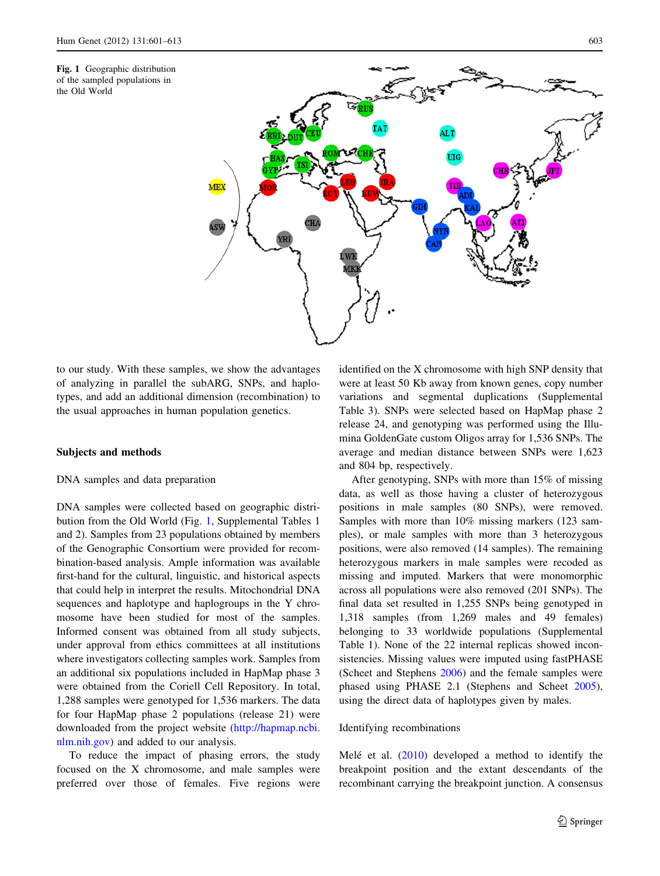<span id="page-2-0"></span>Fig. 1 Geographic distribution of the sampled populations in the Old World



to our study. With these samples, we show the advantages of analyzing in parallel the subARG, SNPs, and haplotypes, and add an additional dimension (recombination) to the usual approaches in human population genetics.

### Subjects and methods

#### DNA samples and data preparation

DNA samples were collected based on geographic distribution from the Old World (Fig. 1, Supplemental Tables 1 and 2). Samples from 23 populations obtained by members of the Genographic Consortium were provided for recombination-based analysis. Ample information was available first-hand for the cultural, linguistic, and historical aspects that could help in interpret the results. Mitochondrial DNA sequences and haplotype and haplogroups in the Y chromosome have been studied for most of the samples. Informed consent was obtained from all study subjects, under approval from ethics committees at all institutions where investigators collecting samples work. Samples from an additional six populations included in HapMap phase 3 were obtained from the Coriell Cell Repository. In total, 1,288 samples were genotyped for 1,536 markers. The data for four HapMap phase 2 populations (release 21) were downloaded from the project website [\(http://hapmap.ncbi.](http://hapmap.ncbi.nlm.nih.gov) [nlm.nih.gov](http://hapmap.ncbi.nlm.nih.gov)) and added to our analysis.

To reduce the impact of phasing errors, the study focused on the X chromosome, and male samples were preferred over those of females. Five regions were identified on the X chromosome with high SNP density that were at least 50 Kb away from known genes, copy number variations and segmental duplications (Supplemental Table 3). SNPs were selected based on HapMap phase 2 release 24, and genotyping was performed using the Illumina GoldenGate custom Oligos array for 1,536 SNPs. The average and median distance between SNPs were 1,623 and 804 bp, respectively.

After genotyping, SNPs with more than 15% of missing data, as well as those having a cluster of heterozygous positions in male samples (80 SNPs), were removed. Samples with more than 10% missing markers (123 samples), or male samples with more than 3 heterozygous positions, were also removed (14 samples). The remaining heterozygous markers in male samples were recoded as missing and imputed. Markers that were monomorphic across all populations were also removed (201 SNPs). The final data set resulted in 1,255 SNPs being genotyped in 1,318 samples (from 1,269 males and 49 females) belonging to 33 worldwide populations (Supplemental Table 1). None of the 22 internal replicas showed inconsistencies. Missing values were imputed using fastPHASE (Scheet and Stephens [2006](#page-12-0)) and the female samples were phased using PHASE 2.1 (Stephens and Scheet [2005](#page-12-0)), using the direct data of haplotypes given by males.

#### Identifying recombinations

Melé et al.  $(2010)$  $(2010)$  developed a method to identify the breakpoint position and the extant descendants of the recombinant carrying the breakpoint junction. A consensus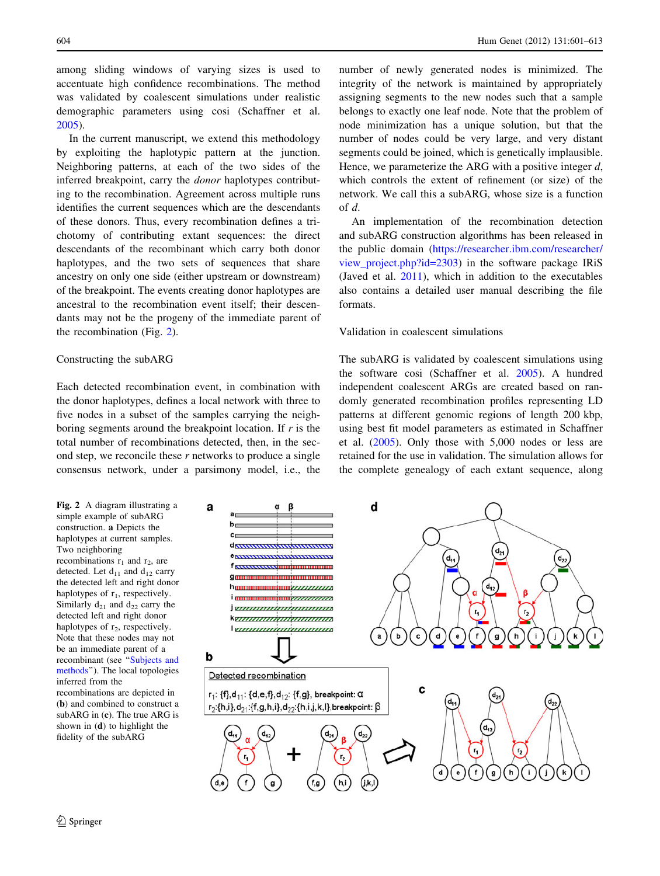among sliding windows of varying sizes is used to accentuate high confidence recombinations. The method was validated by coalescent simulations under realistic demographic parameters using cosi (Schaffner et al. [2005\)](#page-12-0).

In the current manuscript, we extend this methodology by exploiting the haplotypic pattern at the junction. Neighboring patterns, at each of the two sides of the inferred breakpoint, carry the donor haplotypes contributing to the recombination. Agreement across multiple runs identifies the current sequences which are the descendants of these donors. Thus, every recombination defines a trichotomy of contributing extant sequences: the direct descendants of the recombinant which carry both donor haplotypes, and the two sets of sequences that share ancestry on only one side (either upstream or downstream) of the breakpoint. The events creating donor haplotypes are ancestral to the recombination event itself; their descendants may not be the progeny of the immediate parent of the recombination (Fig. 2).

### Constructing the subARG

Each detected recombination event, in combination with the donor haplotypes, defines a local network with three to five nodes in a subset of the samples carrying the neighboring segments around the breakpoint location. If  $r$  is the total number of recombinations detected, then, in the second step, we reconcile these  $r$  networks to produce a single consensus network, under a parsimony model, i.e., the

number of newly generated nodes is minimized. The integrity of the network is maintained by appropriately assigning segments to the new nodes such that a sample belongs to exactly one leaf node. Note that the problem of node minimization has a unique solution, but that the number of nodes could be very large, and very distant segments could be joined, which is genetically implausible. Hence, we parameterize the ARG with a positive integer  $d$ , which controls the extent of refinement (or size) of the network. We call this a subARG, whose size is a function of d.

An implementation of the recombination detection and subARG construction algorithms has been released in the public domain ([https://researcher.ibm.com/researcher/](https://researcher.ibm.com/researcher/view_project.php?id=2303) [view\\_project.php?id=2303\)](https://researcher.ibm.com/researcher/view_project.php?id=2303) in the software package IRiS (Javed et al. [2011\)](#page-11-0), which in addition to the executables also contains a detailed user manual describing the file formats.

#### Validation in coalescent simulations

The subARG is validated by coalescent simulations using the software cosi (Schaffner et al. [2005\)](#page-12-0). A hundred independent coalescent ARGs are created based on randomly generated recombination profiles representing LD patterns at different genomic regions of length 200 kbp, using best fit model parameters as estimated in Schaffner et al. ([2005\)](#page-12-0). Only those with 5,000 nodes or less are retained for the use in validation. The simulation allows for the complete genealogy of each extant sequence, along

Fig. 2 A diagram illustrating a simple example of subARG construction. a Depicts the haplotypes at current samples. Two neighboring recombinations  $r_1$  and  $r_2$ , are detected. Let  $d_{11}$  and  $d_{12}$  carry the detected left and right donor haplotypes of  $r_1$ , respectively. Similarly  $d_{21}$  and  $d_{22}$  carry the detected left and right donor haplotypes of  $r_2$ , respectively. Note that these nodes may not be an immediate parent of a recombinant (see "[Subjects and](#page-2-0) [methods'](#page-2-0)'). The local topologies inferred from the recombinations are depicted in (b) and combined to construct a subARG in (c). The true ARG is shown in (d) to highlight the fidelity of the subARG

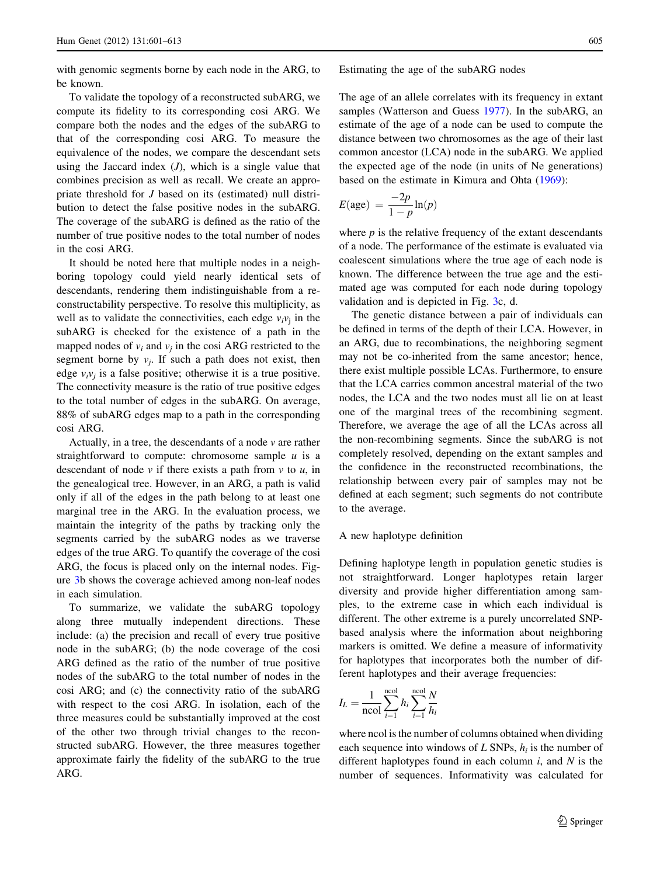with genomic segments borne by each node in the ARG, to be known.

To validate the topology of a reconstructed subARG, we compute its fidelity to its corresponding cosi ARG. We compare both the nodes and the edges of the subARG to that of the corresponding cosi ARG. To measure the equivalence of the nodes, we compare the descendant sets using the Jaccard index  $(J)$ , which is a single value that combines precision as well as recall. We create an appropriate threshold for J based on its (estimated) null distribution to detect the false positive nodes in the subARG. The coverage of the subARG is defined as the ratio of the number of true positive nodes to the total number of nodes in the cosi ARG.

It should be noted here that multiple nodes in a neighboring topology could yield nearly identical sets of descendants, rendering them indistinguishable from a reconstructability perspective. To resolve this multiplicity, as well as to validate the connectivities, each edge  $v_i v_i$  in the subARG is checked for the existence of a path in the mapped nodes of  $v_i$  and  $v_j$  in the cosi ARG restricted to the segment borne by  $v_i$ . If such a path does not exist, then edge  $v_i v_i$  is a false positive; otherwise it is a true positive. The connectivity measure is the ratio of true positive edges to the total number of edges in the subARG. On average, 88% of subARG edges map to a path in the corresponding cosi ARG.

Actually, in a tree, the descendants of a node  $\nu$  are rather straightforward to compute: chromosome sample  $u$  is a descendant of node  $v$  if there exists a path from  $v$  to  $u$ , in the genealogical tree. However, in an ARG, a path is valid only if all of the edges in the path belong to at least one marginal tree in the ARG. In the evaluation process, we maintain the integrity of the paths by tracking only the segments carried by the subARG nodes as we traverse edges of the true ARG. To quantify the coverage of the cosi ARG, the focus is placed only on the internal nodes. Figure [3](#page-5-0)b shows the coverage achieved among non-leaf nodes in each simulation.

To summarize, we validate the subARG topology along three mutually independent directions. These include: (a) the precision and recall of every true positive node in the subARG; (b) the node coverage of the cosi ARG defined as the ratio of the number of true positive nodes of the subARG to the total number of nodes in the cosi ARG; and (c) the connectivity ratio of the subARG with respect to the cosi ARG. In isolation, each of the three measures could be substantially improved at the cost of the other two through trivial changes to the reconstructed subARG. However, the three measures together approximate fairly the fidelity of the subARG to the true ARG.

Estimating the age of the subARG nodes

The age of an allele correlates with its frequency in extant samples (Watterson and Guess [1977](#page-12-0)). In the subARG, an estimate of the age of a node can be used to compute the distance between two chromosomes as the age of their last common ancestor (LCA) node in the subARG. We applied the expected age of the node (in units of Ne generations) based on the estimate in Kimura and Ohta ([1969\)](#page-11-0):

$$
E(\text{age}) = \frac{-2p}{1-p}\ln(p)
$$

where  $p$  is the relative frequency of the extant descendants of a node. The performance of the estimate is evaluated via coalescent simulations where the true age of each node is known. The difference between the true age and the estimated age was computed for each node during topology validation and is depicted in Fig. [3c](#page-5-0), d.

The genetic distance between a pair of individuals can be defined in terms of the depth of their LCA. However, in an ARG, due to recombinations, the neighboring segment may not be co-inherited from the same ancestor; hence, there exist multiple possible LCAs. Furthermore, to ensure that the LCA carries common ancestral material of the two nodes, the LCA and the two nodes must all lie on at least one of the marginal trees of the recombining segment. Therefore, we average the age of all the LCAs across all the non-recombining segments. Since the subARG is not completely resolved, depending on the extant samples and the confidence in the reconstructed recombinations, the relationship between every pair of samples may not be defined at each segment; such segments do not contribute to the average.

#### A new haplotype definition

Defining haplotype length in population genetic studies is not straightforward. Longer haplotypes retain larger diversity and provide higher differentiation among samples, to the extreme case in which each individual is different. The other extreme is a purely uncorrelated SNPbased analysis where the information about neighboring markers is omitted. We define a measure of informativity for haplotypes that incorporates both the number of different haplotypes and their average frequencies:

$$
I_L = \frac{1}{\text{ncol}} \sum_{i=1}^{\text{ncol}} h_i \sum_{i=1}^{\text{ncol}} \frac{N}{h_i}
$$

where ncol is the number of columns obtained when dividing each sequence into windows of  $L$  SNPs,  $h_i$  is the number of different haplotypes found in each column  $i$ , and  $N$  is the number of sequences. Informativity was calculated for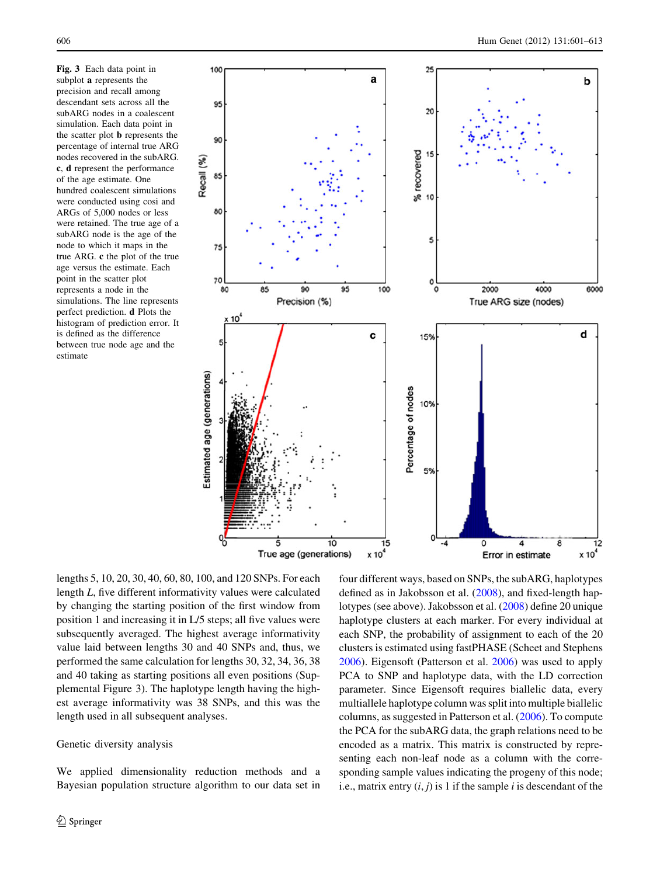<span id="page-5-0"></span>Fig. 3 Each data point in subplot a represents the precision and recall among descendant sets across all the subARG nodes in a coalescent simulation. Each data point in the scatter plot b represents the percentage of internal true ARG nodes recovered in the subARG. c, d represent the performance of the age estimate. One hundred coalescent simulations were conducted using cosi and ARGs of 5,000 nodes or less were retained. The true age of a subARG node is the age of the node to which it maps in the true ARG. c the plot of the true age versus the estimate. Each point in the scatter plot represents a node in the simulations. The line represents perfect prediction. d Plots the histogram of prediction error. It is defined as the difference between true node age and the estimate



lengths 5, 10, 20, 30, 40, 60, 80, 100, and 120 SNPs. For each length L, five different informativity values were calculated by changing the starting position of the first window from position 1 and increasing it in L/5 steps; all five values were subsequently averaged. The highest average informativity value laid between lengths 30 and 40 SNPs and, thus, we performed the same calculation for lengths 30, 32, 34, 36, 38 and 40 taking as starting positions all even positions (Supplemental Figure 3). The haplotype length having the highest average informativity was 38 SNPs, and this was the length used in all subsequent analyses.

#### Genetic diversity analysis

We applied dimensionality reduction methods and a Bayesian population structure algorithm to our data set in four different ways, based on SNPs, the subARG, haplotypes defined as in Jakobsson et al. ([2008\)](#page-11-0), and fixed-length haplotypes (see above). Jakobsson et al. ([2008\)](#page-11-0) define 20 unique haplotype clusters at each marker. For every individual at each SNP, the probability of assignment to each of the 20 clusters is estimated using fastPHASE (Scheet and Stephens [2006](#page-12-0)). Eigensoft (Patterson et al. [2006](#page-12-0)) was used to apply PCA to SNP and haplotype data, with the LD correction parameter. Since Eigensoft requires biallelic data, every multiallele haplotype column was split into multiple biallelic columns, as suggested in Patterson et al. ([2006\)](#page-12-0). To compute the PCA for the subARG data, the graph relations need to be encoded as a matrix. This matrix is constructed by representing each non-leaf node as a column with the corresponding sample values indicating the progeny of this node; i.e., matrix entry  $(i, j)$  is 1 if the sample i is descendant of the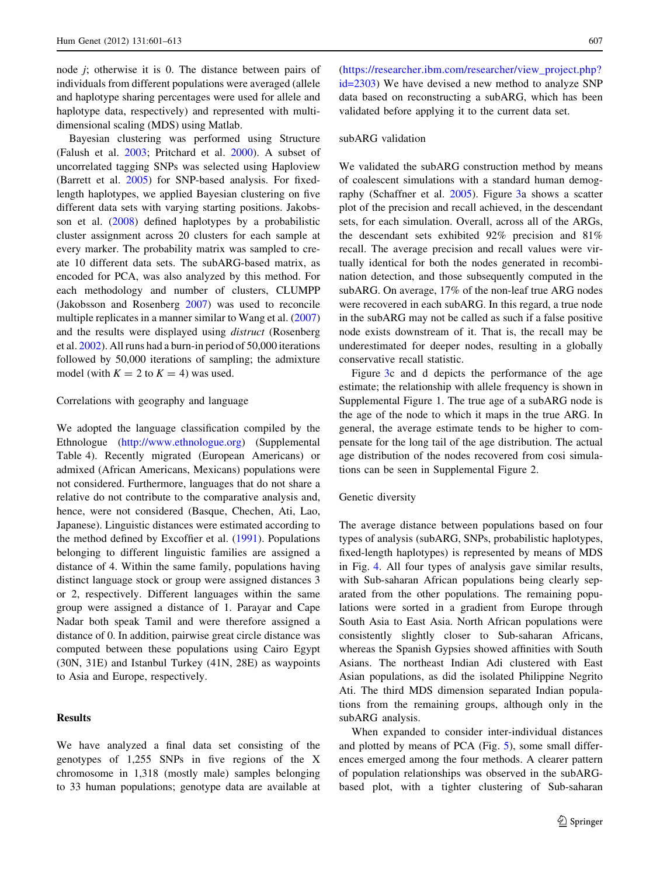node j; otherwise it is 0. The distance between pairs of individuals from different populations were averaged (allele and haplotype sharing percentages were used for allele and haplotype data, respectively) and represented with multidimensional scaling (MDS) using Matlab.

Bayesian clustering was performed using Structure (Falush et al. [2003](#page-11-0); Pritchard et al. [2000](#page-12-0)). A subset of uncorrelated tagging SNPs was selected using Haploview (Barrett et al. [2005\)](#page-11-0) for SNP-based analysis. For fixedlength haplotypes, we applied Bayesian clustering on five different data sets with varying starting positions. Jakobsson et al. [\(2008](#page-11-0)) defined haplotypes by a probabilistic cluster assignment across 20 clusters for each sample at every marker. The probability matrix was sampled to create 10 different data sets. The subARG-based matrix, as encoded for PCA, was also analyzed by this method. For each methodology and number of clusters, CLUMPP (Jakobsson and Rosenberg [2007](#page-11-0)) was used to reconcile multiple replicates in a manner similar to Wang et al. ([2007\)](#page-12-0) and the results were displayed using distruct (Rosenberg et al. [2002](#page-12-0)). All runs had a burn-in period of 50,000 iterations followed by 50,000 iterations of sampling; the admixture model (with  $K = 2$  to  $K = 4$ ) was used.

#### Correlations with geography and language

We adopted the language classification compiled by the Ethnologue (<http://www.ethnologue.org>) (Supplemental Table 4). Recently migrated (European Americans) or admixed (African Americans, Mexicans) populations were not considered. Furthermore, languages that do not share a relative do not contribute to the comparative analysis and, hence, were not considered (Basque, Chechen, Ati, Lao, Japanese). Linguistic distances were estimated according to the method defined by Excoffier et al. ([1991\)](#page-11-0). Populations belonging to different linguistic families are assigned a distance of 4. Within the same family, populations having distinct language stock or group were assigned distances 3 or 2, respectively. Different languages within the same group were assigned a distance of 1. Parayar and Cape Nadar both speak Tamil and were therefore assigned a distance of 0. In addition, pairwise great circle distance was computed between these populations using Cairo Egypt (30N, 31E) and Istanbul Turkey (41N, 28E) as waypoints to Asia and Europe, respectively.

## **Results**

We have analyzed a final data set consisting of the genotypes of 1,255 SNPs in five regions of the X chromosome in 1,318 (mostly male) samples belonging to 33 human populations; genotype data are available at ([https://researcher.ibm.com/researcher/view\\_project.php?](https://researcher.ibm.com/researcher/view_project.php?id=2303) [id=2303\)](https://researcher.ibm.com/researcher/view_project.php?id=2303) We have devised a new method to analyze SNP data based on reconstructing a subARG, which has been validated before applying it to the current data set.

### subARG validation

We validated the subARG construction method by means of coalescent simulations with a standard human demography (Schaffner et al. [2005](#page-12-0)). Figure [3a](#page-5-0) shows a scatter plot of the precision and recall achieved, in the descendant sets, for each simulation. Overall, across all of the ARGs, the descendant sets exhibited 92% precision and 81% recall. The average precision and recall values were virtually identical for both the nodes generated in recombination detection, and those subsequently computed in the subARG. On average, 17% of the non-leaf true ARG nodes were recovered in each subARG. In this regard, a true node in the subARG may not be called as such if a false positive node exists downstream of it. That is, the recall may be underestimated for deeper nodes, resulting in a globally conservative recall statistic.

Figure [3c](#page-5-0) and d depicts the performance of the age estimate; the relationship with allele frequency is shown in Supplemental Figure 1. The true age of a subARG node is the age of the node to which it maps in the true ARG. In general, the average estimate tends to be higher to compensate for the long tail of the age distribution. The actual age distribution of the nodes recovered from cosi simulations can be seen in Supplemental Figure 2.

#### Genetic diversity

The average distance between populations based on four types of analysis (subARG, SNPs, probabilistic haplotypes, fixed-length haplotypes) is represented by means of MDS in Fig. [4](#page-7-0). All four types of analysis gave similar results, with Sub-saharan African populations being clearly separated from the other populations. The remaining populations were sorted in a gradient from Europe through South Asia to East Asia. North African populations were consistently slightly closer to Sub-saharan Africans, whereas the Spanish Gypsies showed affinities with South Asians. The northeast Indian Adi clustered with East Asian populations, as did the isolated Philippine Negrito Ati. The third MDS dimension separated Indian populations from the remaining groups, although only in the subARG analysis.

When expanded to consider inter-individual distances and plotted by means of PCA (Fig. [5\)](#page-7-0), some small differences emerged among the four methods. A clearer pattern of population relationships was observed in the subARGbased plot, with a tighter clustering of Sub-saharan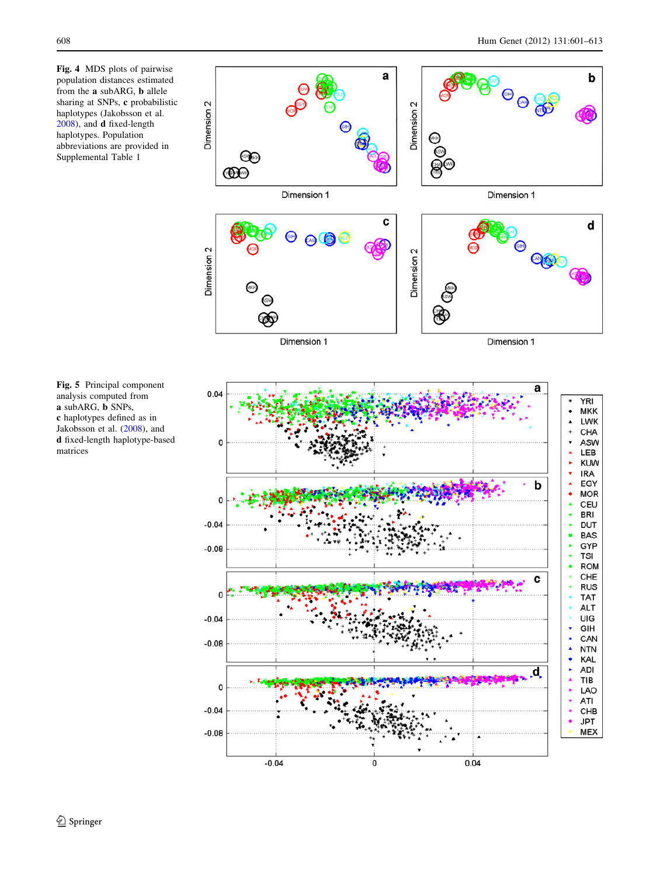<span id="page-7-0"></span>Fig. 4 MDS plots of pairwise population distances estimated from the a subARG, b allele sharing at SNPs, c probabilistic haplotypes (Jakobsson et al. [2008\)](#page-11-0), and d fixed-length haplotypes. Population abbreviations are provided in Supplemental Table 1



Fig. 5 Principal component analysis computed from a subARG, b SNPs, c haplotypes defined as in Jakobsson et al. ([2008](#page-11-0)), and d fixed-length haplotype-based matrices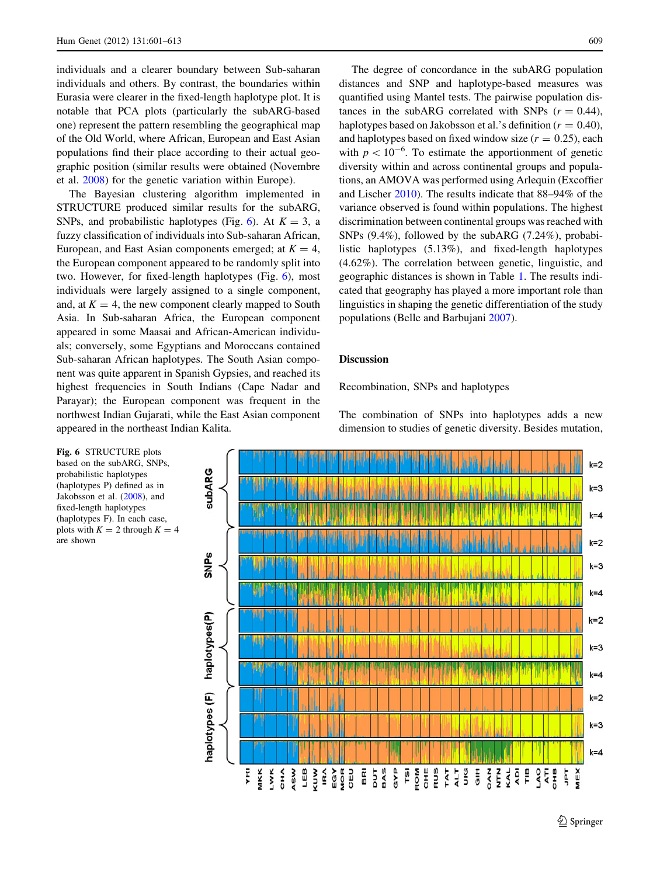individuals and a clearer boundary between Sub-saharan individuals and others. By contrast, the boundaries within Eurasia were clearer in the fixed-length haplotype plot. It is notable that PCA plots (particularly the subARG-based one) represent the pattern resembling the geographical map of the Old World, where African, European and East Asian populations find their place according to their actual geographic position (similar results were obtained (Novembre et al. [2008\)](#page-12-0) for the genetic variation within Europe).

The Bayesian clustering algorithm implemented in STRUCTURE produced similar results for the subARG, SNPs, and probabilistic haplotypes (Fig. 6). At  $K = 3$ , a fuzzy classification of individuals into Sub-saharan African, European, and East Asian components emerged; at  $K = 4$ , the European component appeared to be randomly split into two. However, for fixed-length haplotypes (Fig. 6), most individuals were largely assigned to a single component, and, at  $K = 4$ , the new component clearly mapped to South Asia. In Sub-saharan Africa, the European component appeared in some Maasai and African-American individuals; conversely, some Egyptians and Moroccans contained Sub-saharan African haplotypes. The South Asian component was quite apparent in Spanish Gypsies, and reached its highest frequencies in South Indians (Cape Nadar and Parayar); the European component was frequent in the northwest Indian Gujarati, while the East Asian component appeared in the northeast Indian Kalita.

The degree of concordance in the subARG population distances and SNP and haplotype-based measures was quantified using Mantel tests. The pairwise population distances in the subARG correlated with SNPs  $(r = 0.44)$ , haplotypes based on Jakobsson et al.'s definition ( $r = 0.40$ ), and haplotypes based on fixed window size  $(r = 0.25)$ , each with  $p < 10^{-6}$ . To estimate the apportionment of genetic diversity within and across continental groups and populations, an AMOVA was performed using Arlequin (Excoffier and Lischer [2010](#page-11-0)). The results indicate that 88–94% of the variance observed is found within populations. The highest discrimination between continental groups was reached with SNPs (9.4%), followed by the subARG (7.24%), probabilistic haplotypes (5.13%), and fixed-length haplotypes (4.62%). The correlation between genetic, linguistic, and geographic distances is shown in Table [1.](#page-9-0) The results indicated that geography has played a more important role than linguistics in shaping the genetic differentiation of the study populations (Belle and Barbujani [2007](#page-11-0)).

#### Discussion

Recombination, SNPs and haplotypes

The combination of SNPs into haplotypes adds a new dimension to studies of genetic diversity. Besides mutation,



Fig. 6 STRUCTURE plots based on the subARG, SNPs, probabilistic haplotypes (haplotypes P) defined as in Jakobsson et al. ([2008](#page-11-0)), and fixed-length haplotypes (haplotypes F). In each case, plots with  $K = 2$  through  $K = 4$ are shown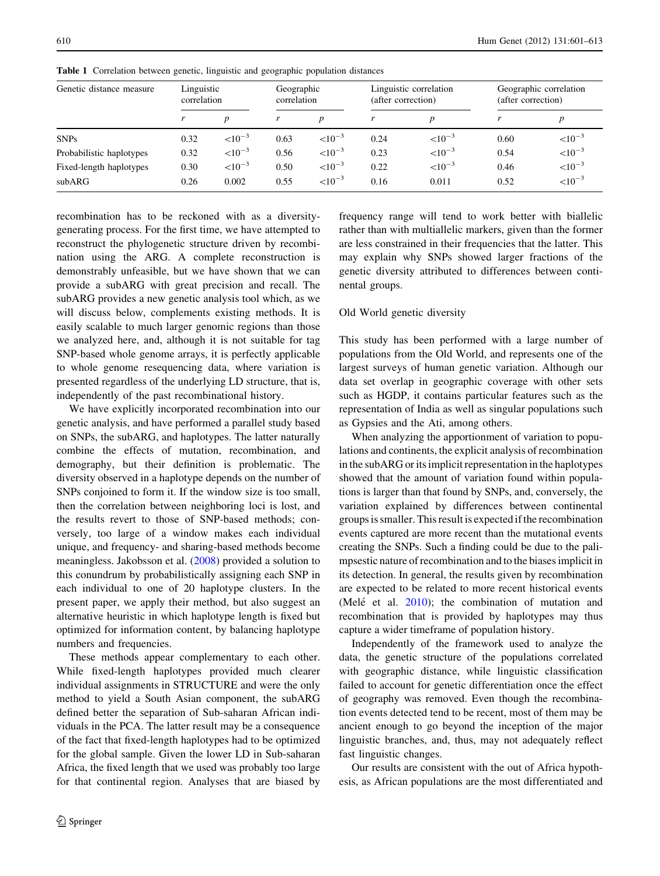| Genetic distance measure | Linguistic<br>correlation |              | Geographic<br>correlation |                  | Linguistic correlation<br>(after correction) |              | Geographic correlation<br>(after correction) |             |
|--------------------------|---------------------------|--------------|---------------------------|------------------|----------------------------------------------|--------------|----------------------------------------------|-------------|
|                          |                           | p            | r                         | $\boldsymbol{p}$ | r                                            | p            |                                              | p           |
| <b>SNPs</b>              | 0.32                      | $< 10^{-3}$  | 0.63                      | $< 10^{-3}$      | 0.24                                         | $< 10^{-3}$  | 0.60                                         | $< 10^{-3}$ |
| Probabilistic haplotypes | 0.32                      | $< 10^{-3}$  | 0.56                      | $< 10^{-3}$      | 0.23                                         | $< 10^{-3}$  | 0.54                                         | $< 10^{-3}$ |
| Fixed-length haplotypes  | 0.30                      | ${<}10^{-3}$ | 0.50                      | ${<}10^{-3}$     | 0.22                                         | ${<}10^{-3}$ | 0.46                                         | $< 10^{-3}$ |
| subARG                   | 0.26                      | 0.002        | 0.55                      | ${<}10^{-3}$     | 0.16                                         | 0.011        | 0.52                                         | $< 10^{-3}$ |

<span id="page-9-0"></span>Table 1 Correlation between genetic, linguistic and geographic population distances

recombination has to be reckoned with as a diversitygenerating process. For the first time, we have attempted to reconstruct the phylogenetic structure driven by recombination using the ARG. A complete reconstruction is demonstrably unfeasible, but we have shown that we can provide a subARG with great precision and recall. The subARG provides a new genetic analysis tool which, as we will discuss below, complements existing methods. It is easily scalable to much larger genomic regions than those we analyzed here, and, although it is not suitable for tag SNP-based whole genome arrays, it is perfectly applicable to whole genome resequencing data, where variation is presented regardless of the underlying LD structure, that is, independently of the past recombinational history.

We have explicitly incorporated recombination into our genetic analysis, and have performed a parallel study based on SNPs, the subARG, and haplotypes. The latter naturally combine the effects of mutation, recombination, and demography, but their definition is problematic. The diversity observed in a haplotype depends on the number of SNPs conjoined to form it. If the window size is too small, then the correlation between neighboring loci is lost, and the results revert to those of SNP-based methods; conversely, too large of a window makes each individual unique, and frequency- and sharing-based methods become meaningless. Jakobsson et al. [\(2008](#page-11-0)) provided a solution to this conundrum by probabilistically assigning each SNP in each individual to one of 20 haplotype clusters. In the present paper, we apply their method, but also suggest an alternative heuristic in which haplotype length is fixed but optimized for information content, by balancing haplotype numbers and frequencies.

These methods appear complementary to each other. While fixed-length haplotypes provided much clearer individual assignments in STRUCTURE and were the only method to yield a South Asian component, the subARG defined better the separation of Sub-saharan African individuals in the PCA. The latter result may be a consequence of the fact that fixed-length haplotypes had to be optimized for the global sample. Given the lower LD in Sub-saharan Africa, the fixed length that we used was probably too large for that continental region. Analyses that are biased by

frequency range will tend to work better with biallelic rather than with multiallelic markers, given than the former are less constrained in their frequencies that the latter. This may explain why SNPs showed larger fractions of the genetic diversity attributed to differences between continental groups.

## Old World genetic diversity

This study has been performed with a large number of populations from the Old World, and represents one of the largest surveys of human genetic variation. Although our data set overlap in geographic coverage with other sets such as HGDP, it contains particular features such as the representation of India as well as singular populations such as Gypsies and the Ati, among others.

When analyzing the apportionment of variation to populations and continents, the explicit analysis of recombination in the subARG or its implicit representation in the haplotypes showed that the amount of variation found within populations is larger than that found by SNPs, and, conversely, the variation explained by differences between continental groups is smaller. This result is expected if the recombination events captured are more recent than the mutational events creating the SNPs. Such a finding could be due to the palimpsestic nature of recombination and to the biases implicit in its detection. In general, the results given by recombination are expected to be related to more recent historical events (Melé et al.  $2010$ ); the combination of mutation and recombination that is provided by haplotypes may thus capture a wider timeframe of population history.

Independently of the framework used to analyze the data, the genetic structure of the populations correlated with geographic distance, while linguistic classification failed to account for genetic differentiation once the effect of geography was removed. Even though the recombination events detected tend to be recent, most of them may be ancient enough to go beyond the inception of the major linguistic branches, and, thus, may not adequately reflect fast linguistic changes.

Our results are consistent with the out of Africa hypothesis, as African populations are the most differentiated and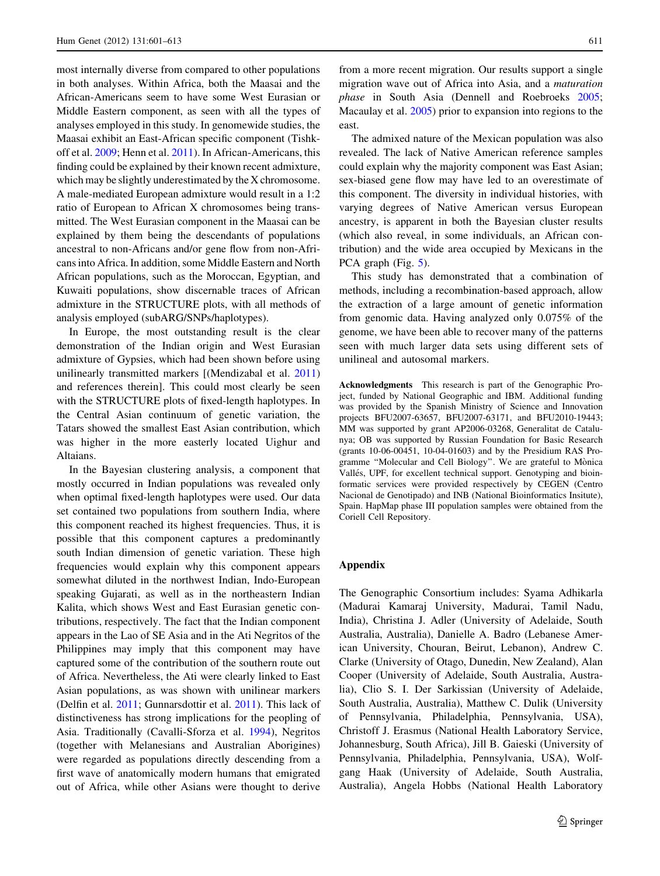<span id="page-10-0"></span>most internally diverse from compared to other populations in both analyses. Within Africa, both the Maasai and the African-Americans seem to have some West Eurasian or Middle Eastern component, as seen with all the types of analyses employed in this study. In genomewide studies, the Maasai exhibit an East-African specific component (Tishkoff et al. [2009;](#page-12-0) Henn et al. [2011\)](#page-11-0). In African-Americans, this finding could be explained by their known recent admixture, which may be slightly underestimated by the X chromosome. A male-mediated European admixture would result in a 1:2 ratio of European to African X chromosomes being transmitted. The West Eurasian component in the Maasai can be explained by them being the descendants of populations ancestral to non-Africans and/or gene flow from non-Africans into Africa. In addition, some Middle Eastern and North African populations, such as the Moroccan, Egyptian, and Kuwaiti populations, show discernable traces of African admixture in the STRUCTURE plots, with all methods of analysis employed (subARG/SNPs/haplotypes).

In Europe, the most outstanding result is the clear demonstration of the Indian origin and West Eurasian admixture of Gypsies, which had been shown before using unilinearly transmitted markers [(Mendizabal et al. [2011\)](#page-12-0) and references therein]. This could most clearly be seen with the STRUCTURE plots of fixed-length haplotypes. In the Central Asian continuum of genetic variation, the Tatars showed the smallest East Asian contribution, which was higher in the more easterly located Uighur and Altaians.

In the Bayesian clustering analysis, a component that mostly occurred in Indian populations was revealed only when optimal fixed-length haplotypes were used. Our data set contained two populations from southern India, where this component reached its highest frequencies. Thus, it is possible that this component captures a predominantly south Indian dimension of genetic variation. These high frequencies would explain why this component appears somewhat diluted in the northwest Indian, Indo-European speaking Gujarati, as well as in the northeastern Indian Kalita, which shows West and East Eurasian genetic contributions, respectively. The fact that the Indian component appears in the Lao of SE Asia and in the Ati Negritos of the Philippines may imply that this component may have captured some of the contribution of the southern route out of Africa. Nevertheless, the Ati were clearly linked to East Asian populations, as was shown with unilinear markers (Delfin et al. [2011;](#page-11-0) Gunnarsdottir et al. [2011\)](#page-11-0). This lack of distinctiveness has strong implications for the peopling of Asia. Traditionally (Cavalli-Sforza et al. [1994\)](#page-11-0), Negritos (together with Melanesians and Australian Aborigines) were regarded as populations directly descending from a first wave of anatomically modern humans that emigrated out of Africa, while other Asians were thought to derive from a more recent migration. Our results support a single migration wave out of Africa into Asia, and a maturation phase in South Asia (Dennell and Roebroeks [2005](#page-11-0); Macaulay et al. [2005](#page-11-0)) prior to expansion into regions to the east.

The admixed nature of the Mexican population was also revealed. The lack of Native American reference samples could explain why the majority component was East Asian; sex-biased gene flow may have led to an overestimate of this component. The diversity in individual histories, with varying degrees of Native American versus European ancestry, is apparent in both the Bayesian cluster results (which also reveal, in some individuals, an African contribution) and the wide area occupied by Mexicans in the PCA graph (Fig. [5](#page-7-0)).

This study has demonstrated that a combination of methods, including a recombination-based approach, allow the extraction of a large amount of genetic information from genomic data. Having analyzed only 0.075% of the genome, we have been able to recover many of the patterns seen with much larger data sets using different sets of unilineal and autosomal markers.

Acknowledgments This research is part of the Genographic Project, funded by National Geographic and IBM. Additional funding was provided by the Spanish Ministry of Science and Innovation projects BFU2007-63657, BFU2007-63171, and BFU2010-19443; MM was supported by grant AP2006-03268, Generalitat de Catalunya; OB was supported by Russian Foundation for Basic Research (grants 10-06-00451, 10-04-01603) and by the Presidium RAS Programme "Molecular and Cell Biology". We are grateful to Mònica Vallés, UPF, for excellent technical support. Genotyping and bioinformatic services were provided respectively by CEGEN (Centro Nacional de Genotipado) and INB (National Bioinformatics Insitute), Spain. HapMap phase III population samples were obtained from the Coriell Cell Repository.

#### Appendix

The Genographic Consortium includes: Syama Adhikarla (Madurai Kamaraj University, Madurai, Tamil Nadu, India), Christina J. Adler (University of Adelaide, South Australia, Australia), Danielle A. Badro (Lebanese American University, Chouran, Beirut, Lebanon), Andrew C. Clarke (University of Otago, Dunedin, New Zealand), Alan Cooper (University of Adelaide, South Australia, Australia), Clio S. I. Der Sarkissian (University of Adelaide, South Australia, Australia), Matthew C. Dulik (University of Pennsylvania, Philadelphia, Pennsylvania, USA), Christoff J. Erasmus (National Health Laboratory Service, Johannesburg, South Africa), Jill B. Gaieski (University of Pennsylvania, Philadelphia, Pennsylvania, USA), Wolfgang Haak (University of Adelaide, South Australia, Australia), Angela Hobbs (National Health Laboratory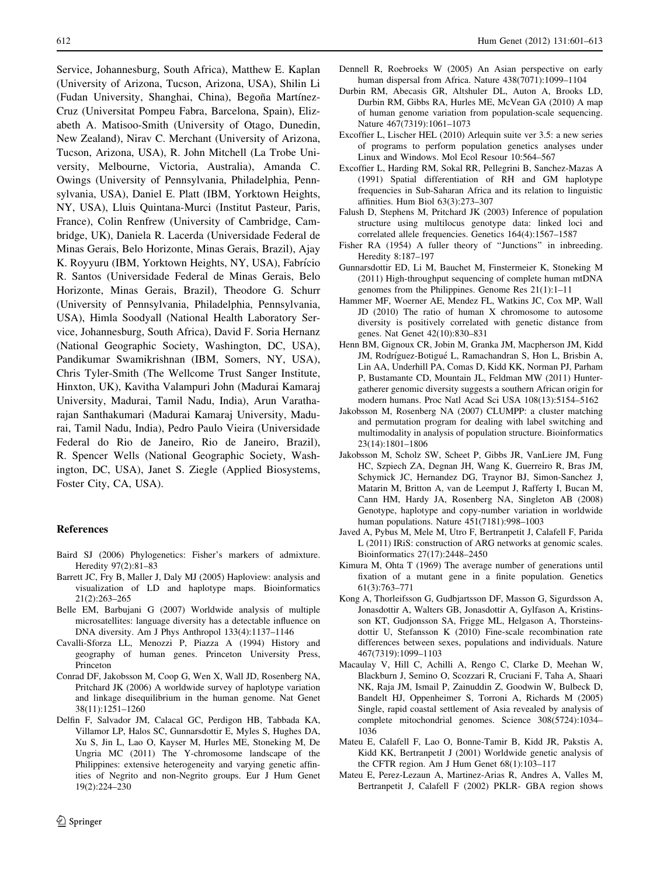<span id="page-11-0"></span>Service, Johannesburg, South Africa), Matthew E. Kaplan (University of Arizona, Tucson, Arizona, USA), Shilin Li (Fudan University, Shanghai, China), Begoña Martínez-Cruz (Universitat Pompeu Fabra, Barcelona, Spain), Elizabeth A. Matisoo-Smith (University of Otago, Dunedin, New Zealand), Nirav C. Merchant (University of Arizona, Tucson, Arizona, USA), R. John Mitchell (La Trobe University, Melbourne, Victoria, Australia), Amanda C. Owings (University of Pennsylvania, Philadelphia, Pennsylvania, USA), Daniel E. Platt (IBM, Yorktown Heights, NY, USA), Lluis Quintana-Murci (Institut Pasteur, Paris, France), Colin Renfrew (University of Cambridge, Cambridge, UK), Daniela R. Lacerda (Universidade Federal de Minas Gerais, Belo Horizonte, Minas Gerais, Brazil), Ajay K. Royyuru (IBM, Yorktown Heights, NY, USA), Fabrício R. Santos (Universidade Federal de Minas Gerais, Belo Horizonte, Minas Gerais, Brazil), Theodore G. Schurr (University of Pennsylvania, Philadelphia, Pennsylvania, USA), Himla Soodyall (National Health Laboratory Service, Johannesburg, South Africa), David F. Soria Hernanz (National Geographic Society, Washington, DC, USA), Pandikumar Swamikrishnan (IBM, Somers, NY, USA), Chris Tyler-Smith (The Wellcome Trust Sanger Institute, Hinxton, UK), Kavitha Valampuri John (Madurai Kamaraj University, Madurai, Tamil Nadu, India), Arun Varatharajan Santhakumari (Madurai Kamaraj University, Madurai, Tamil Nadu, India), Pedro Paulo Vieira (Universidade Federal do Rio de Janeiro, Rio de Janeiro, Brazil), R. Spencer Wells (National Geographic Society, Washington, DC, USA), Janet S. Ziegle (Applied Biosystems, Foster City, CA, USA).

#### References

- Baird SJ (2006) Phylogenetics: Fisher's markers of admixture. Heredity 97(2):81–83
- Barrett JC, Fry B, Maller J, Daly MJ (2005) Haploview: analysis and visualization of LD and haplotype maps. Bioinformatics 21(2):263–265
- Belle EM, Barbujani G (2007) Worldwide analysis of multiple microsatellites: language diversity has a detectable influence on DNA diversity. Am J Phys Anthropol 133(4):1137–1146
- Cavalli-Sforza LL, Menozzi P, Piazza A (1994) History and geography of human genes. Princeton University Press, Princeton
- Conrad DF, Jakobsson M, Coop G, Wen X, Wall JD, Rosenberg NA, Pritchard JK (2006) A worldwide survey of haplotype variation and linkage disequilibrium in the human genome. Nat Genet 38(11):1251–1260
- Delfin F, Salvador JM, Calacal GC, Perdigon HB, Tabbada KA, Villamor LP, Halos SC, Gunnarsdottir E, Myles S, Hughes DA, Xu S, Jin L, Lao O, Kayser M, Hurles ME, Stoneking M, De Ungria MC (2011) The Y-chromosome landscape of the Philippines: extensive heterogeneity and varying genetic affinities of Negrito and non-Negrito groups. Eur J Hum Genet 19(2):224–230
- Dennell R, Roebroeks W (2005) An Asian perspective on early human dispersal from Africa. Nature 438(7071):1099–1104
- Durbin RM, Abecasis GR, Altshuler DL, Auton A, Brooks LD, Durbin RM, Gibbs RA, Hurles ME, McVean GA (2010) A map of human genome variation from population-scale sequencing. Nature 467(7319):1061–1073
- Excoffier L, Lischer HEL (2010) Arlequin suite ver 3.5: a new series of programs to perform population genetics analyses under Linux and Windows. Mol Ecol Resour 10:564–567
- Excoffier L, Harding RM, Sokal RR, Pellegrini B, Sanchez-Mazas A (1991) Spatial differentiation of RH and GM haplotype frequencies in Sub-Saharan Africa and its relation to linguistic affinities. Hum Biol 63(3):273–307
- Falush D, Stephens M, Pritchard JK (2003) Inference of population structure using multilocus genotype data: linked loci and correlated allele frequencies. Genetics 164(4):1567–1587
- Fisher RA (1954) A fuller theory of "Junctions" in inbreeding. Heredity 8:187–197
- Gunnarsdottir ED, Li M, Bauchet M, Finstermeier K, Stoneking M (2011) High-throughput sequencing of complete human mtDNA genomes from the Philippines. Genome Res 21(1):1–11
- Hammer MF, Woerner AE, Mendez FL, Watkins JC, Cox MP, Wall JD (2010) The ratio of human X chromosome to autosome diversity is positively correlated with genetic distance from genes. Nat Genet 42(10):830–831
- Henn BM, Gignoux CR, Jobin M, Granka JM, Macpherson JM, Kidd JM, Rodríguez-Botigué L, Ramachandran S, Hon L, Brisbin A, Lin AA, Underhill PA, Comas D, Kidd KK, Norman PJ, Parham P, Bustamante CD, Mountain JL, Feldman MW (2011) Huntergatherer genomic diversity suggests a southern African origin for modern humans. Proc Natl Acad Sci USA 108(13):5154–5162
- Jakobsson M, Rosenberg NA (2007) CLUMPP: a cluster matching and permutation program for dealing with label switching and multimodality in analysis of population structure. Bioinformatics 23(14):1801–1806
- Jakobsson M, Scholz SW, Scheet P, Gibbs JR, VanLiere JM, Fung HC, Szpiech ZA, Degnan JH, Wang K, Guerreiro R, Bras JM, Schymick JC, Hernandez DG, Traynor BJ, Simon-Sanchez J, Matarin M, Britton A, van de Leemput J, Rafferty I, Bucan M, Cann HM, Hardy JA, Rosenberg NA, Singleton AB (2008) Genotype, haplotype and copy-number variation in worldwide human populations. Nature 451(7181):998–1003
- Javed A, Pybus M, Mele M, Utro F, Bertranpetit J, Calafell F, Parida L (2011) IRiS: construction of ARG networks at genomic scales. Bioinformatics 27(17):2448–2450
- Kimura M, Ohta T (1969) The average number of generations until fixation of a mutant gene in a finite population. Genetics 61(3):763–771
- Kong A, Thorleifsson G, Gudbjartsson DF, Masson G, Sigurdsson A, Jonasdottir A, Walters GB, Jonasdottir A, Gylfason A, Kristinsson KT, Gudjonsson SA, Frigge ML, Helgason A, Thorsteinsdottir U, Stefansson K (2010) Fine-scale recombination rate differences between sexes, populations and individuals. Nature 467(7319):1099–1103
- Macaulay V, Hill C, Achilli A, Rengo C, Clarke D, Meehan W, Blackburn J, Semino O, Scozzari R, Cruciani F, Taha A, Shaari NK, Raja JM, Ismail P, Zainuddin Z, Goodwin W, Bulbeck D, Bandelt HJ, Oppenheimer S, Torroni A, Richards M (2005) Single, rapid coastal settlement of Asia revealed by analysis of complete mitochondrial genomes. Science 308(5724):1034– 1036
- Mateu E, Calafell F, Lao O, Bonne-Tamir B, Kidd JR, Pakstis A, Kidd KK, Bertranpetit J (2001) Worldwide genetic analysis of the CFTR region. Am J Hum Genet 68(1):103–117
- Mateu E, Perez-Lezaun A, Martinez-Arias R, Andres A, Valles M, Bertranpetit J, Calafell F (2002) PKLR- GBA region shows